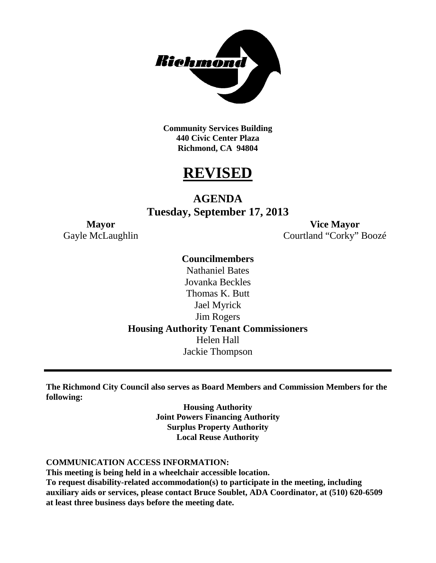

**Community Services Building 440 Civic Center Plaza Richmond, CA 94804**

# **REVISED**

# **AGENDA Tuesday, September 17, 2013**

**Mayor Vice Mayor** Gayle McLaughlin Courtland "Corky" Boozé

## **Councilmembers**

Nathaniel Bates Jovanka Beckles Thomas K. Butt Jael Myrick Jim Rogers **Housing Authority Tenant Commissioners** Helen Hall Jackie Thompson

**The Richmond City Council also serves as Board Members and Commission Members for the following:**

> **Housing Authority Joint Powers Financing Authority Surplus Property Authority Local Reuse Authority**

#### **COMMUNICATION ACCESS INFORMATION:**

**This meeting is being held in a wheelchair accessible location.**

**To request disability-related accommodation(s) to participate in the meeting, including auxiliary aids or services, please contact Bruce Soublet, ADA Coordinator, at (510) 620-6509 at least three business days before the meeting date.**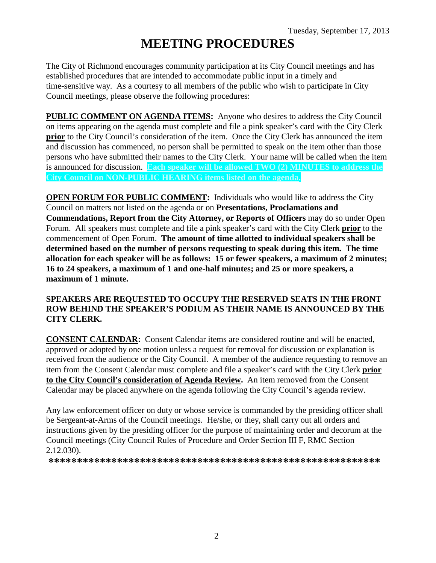# **MEETING PROCEDURES**

The City of Richmond encourages community participation at its City Council meetings and has established procedures that are intended to accommodate public input in a timely and time-sensitive way. As a courtesy to all members of the public who wish to participate in City Council meetings, please observe the following procedures:

**PUBLIC COMMENT ON AGENDA ITEMS:** Anyone who desires to address the City Council on items appearing on the agenda must complete and file a pink speaker's card with the City Clerk **prior** to the City Council's consideration of the item. Once the City Clerk has announced the item and discussion has commenced, no person shall be permitted to speak on the item other than those persons who have submitted their names to the City Clerk. Your name will be called when the item is announced for discussion. **Each speaker will be allowed TWO (2) MINUTES to address the City Council on NON-PUBLIC HEARING items listed on the agenda.**

**OPEN FORUM FOR PUBLIC COMMENT:** Individuals who would like to address the City Council on matters not listed on the agenda or on **Presentations, Proclamations and Commendations, Report from the City Attorney, or Reports of Officers** may do so under Open Forum. All speakers must complete and file a pink speaker's card with the City Clerk **prior** to the commencement of Open Forum. **The amount of time allotted to individual speakers shall be determined based on the number of persons requesting to speak during this item. The time allocation for each speaker will be as follows: 15 or fewer speakers, a maximum of 2 minutes; 16 to 24 speakers, a maximum of 1 and one-half minutes; and 25 or more speakers, a maximum of 1 minute.**

#### **SPEAKERS ARE REQUESTED TO OCCUPY THE RESERVED SEATS IN THE FRONT ROW BEHIND THE SPEAKER'S PODIUM AS THEIR NAME IS ANNOUNCED BY THE CITY CLERK.**

**CONSENT CALENDAR:** Consent Calendar items are considered routine and will be enacted, approved or adopted by one motion unless a request for removal for discussion or explanation is received from the audience or the City Council. A member of the audience requesting to remove an item from the Consent Calendar must complete and file a speaker's card with the City Clerk **prior to the City Council's consideration of Agenda Review.** An item removed from the Consent Calendar may be placed anywhere on the agenda following the City Council's agenda review.

Any law enforcement officer on duty or whose service is commanded by the presiding officer shall be Sergeant-at-Arms of the Council meetings. He/she, or they, shall carry out all orders and instructions given by the presiding officer for the purpose of maintaining order and decorum at the Council meetings (City Council Rules of Procedure and Order Section III F, RMC Section 2.12.030).

**\*\*\*\*\*\*\*\*\*\*\*\*\*\*\*\*\*\*\*\*\*\*\*\*\*\*\*\*\*\*\*\*\*\*\*\*\*\*\*\*\*\*\*\*\*\*\*\*\*\*\*\*\*\*\*\*\*\***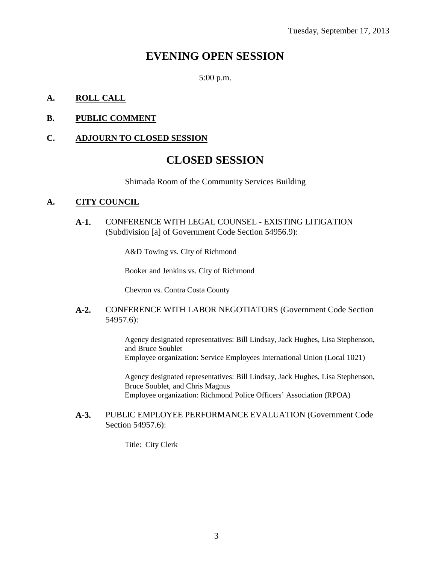# **EVENING OPEN SESSION**

5:00 p.m.

#### **A. ROLL CALL**

#### **B. PUBLIC COMMENT**

#### **C. ADJOURN TO CLOSED SESSION**

## **CLOSED SESSION**

Shimada Room of the Community Services Building

#### **A. CITY COUNCIL**

**A-1.** CONFERENCE WITH LEGAL COUNSEL - EXISTING LITIGATION (Subdivision [a] of Government Code Section 54956.9):

A&D Towing vs. City of Richmond

Booker and Jenkins vs. City of Richmond

Chevron vs. Contra Costa County

#### **A-2.** CONFERENCE WITH LABOR NEGOTIATORS (Government Code Section 54957.6):

Agency designated representatives: Bill Lindsay, Jack Hughes, Lisa Stephenson, and Bruce Soublet

Employee organization: Service Employees International Union (Local 1021)

Agency designated representatives: Bill Lindsay, Jack Hughes, Lisa Stephenson, Bruce Soublet, and Chris Magnus Employee organization: Richmond Police Officers' Association (RPOA)

#### **A-3.** PUBLIC EMPLOYEE PERFORMANCE EVALUATION (Government Code Section 54957.6):

Title: City Clerk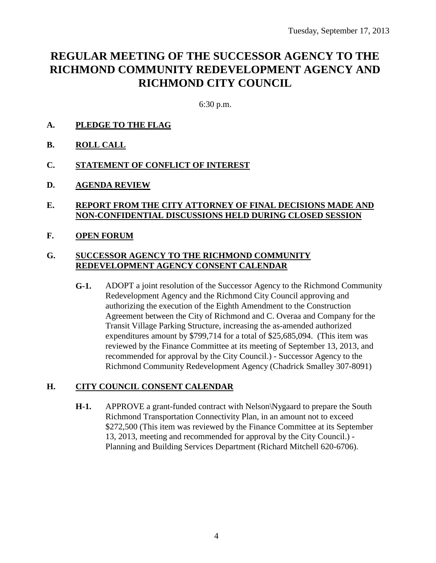# **REGULAR MEETING OF THE SUCCESSOR AGENCY TO THE RICHMOND COMMUNITY REDEVELOPMENT AGENCY AND RICHMOND CITY COUNCIL**

6:30 p.m.

- **A. PLEDGE TO THE FLAG**
- **B. ROLL CALL**
- **C. STATEMENT OF CONFLICT OF INTEREST**
- **D. AGENDA REVIEW**
- **E. REPORT FROM THE CITY ATTORNEY OF FINAL DECISIONS MADE AND NON-CONFIDENTIAL DISCUSSIONS HELD DURING CLOSED SESSION**
- **F. OPEN FORUM**

#### **G. SUCCESSOR AGENCY TO THE RICHMOND COMMUNITY REDEVELOPMENT AGENCY CONSENT CALENDAR**

**G-1.** ADOPT a joint resolution of the Successor Agency to the Richmond Community Redevelopment Agency and the Richmond City Council approving and authorizing the execution of the Eighth Amendment to the Construction Agreement between the City of Richmond and C. Overaa and Company for the Transit Village Parking Structure, increasing the as-amended authorized expenditures amount by \$799,714 for a total of \$25,685,094. (This item was reviewed by the Finance Committee at its meeting of September 13, 2013, and recommended for approval by the City Council.) - Successor Agency to the Richmond Community Redevelopment Agency (Chadrick Smalley 307-8091)

## **H. CITY COUNCIL CONSENT CALENDAR**

**H-1.** APPROVE a grant-funded contract with Nelson\Nygaard to prepare the South Richmond Transportation Connectivity Plan, in an amount not to exceed \$272,500 (This item was reviewed by the Finance Committee at its September 13, 2013, meeting and recommended for approval by the City Council.) - Planning and Building Services Department (Richard Mitchell 620-6706).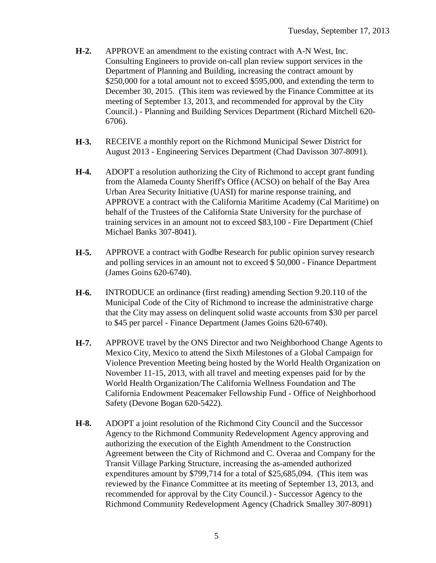- **H-2.** APPROVE an amendment to the existing contract with A-N West, Inc. Consulting Engineers to provide on-call plan review support services in the Department of Planning and Building, increasing the contract amount by \$250,000 for a total amount not to exceed \$595,000, and extending the term to December 30, 2015. (This item was reviewed by the Finance Committee at its meeting of September 13, 2013, and recommended for approval by the City Council.) - Planning and Building Services Department (Richard Mitchell 620- 6706).
- **H-3.** RECEIVE a monthly report on the Richmond Municipal Sewer District for August 2013 - Engineering Services Department (Chad Davisson 307-8091).
- **H-4.** ADOPT a resolution authorizing the City of Richmond to accept grant funding from the Alameda County Sheriff's Office (ACSO) on behalf of the Bay Area Urban Area Security Initiative (UASI) for marine response training, and APPROVE a contract with the California Maritime Academy (Cal Maritime) on behalf of the Trustees of the California State University for the purchase of training services in an amount not to exceed \$83,100 - Fire Department (Chief Michael Banks 307-8041).
- **H-5.** APPROVE a contract with Godbe Research for public opinion survey research and polling services in an amount not to exceed \$ 50,000 - Finance Department (James Goins 620-6740).
- **H-6.** INTRODUCE an ordinance (first reading) amending Section 9.20.110 of the Municipal Code of the City of Richmond to increase the administrative charge that the City may assess on delinquent solid waste accounts from \$30 per parcel to \$45 per parcel - Finance Department (James Goins 620-6740).
- **H-7.** APPROVE travel by the ONS Director and two Neighborhood Change Agents to Mexico City, Mexico to attend the Sixth Milestones of a Global Campaign for Violence Prevention Meeting being hosted by the World Health Organization on November 11-15, 2013, with all travel and meeting expenses paid for by the World Health Organization/The California Wellness Foundation and The California Endowment Peacemaker Fellowship Fund - Office of Neighborhood Safety (Devone Bogan 620-5422).
- **H-8.** ADOPT a joint resolution of the Richmond City Council and the Successor Agency to the Richmond Community Redevelopment Agency approving and authorizing the execution of the Eighth Amendment to the Construction Agreement between the City of Richmond and C. Overaa and Company for the Transit Village Parking Structure, increasing the as-amended authorized expenditures amount by \$799,714 for a total of \$25,685,094. (This item was reviewed by the Finance Committee at its meeting of September 13, 2013, and recommended for approval by the City Council.) - Successor Agency to the Richmond Community Redevelopment Agency (Chadrick Smalley 307-8091)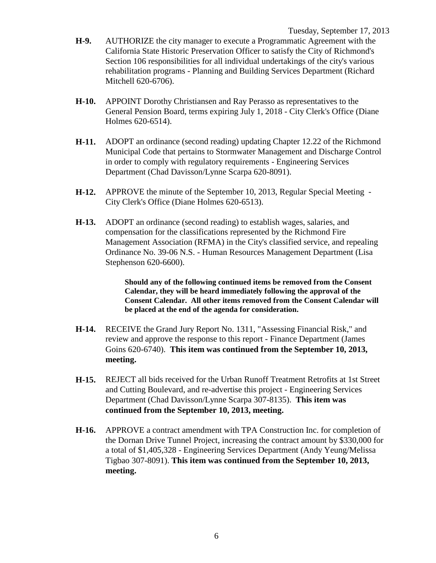- **H-9.** AUTHORIZE the city manager to execute a Programmatic Agreement with the California State Historic Preservation Officer to satisfy the City of Richmond's Section 106 responsibilities for all individual undertakings of the city's various rehabilitation programs - Planning and Building Services Department (Richard Mitchell 620-6706).
- **H-10.** APPOINT Dorothy Christiansen and Ray Perasso as representatives to the General Pension Board, terms expiring July 1, 2018 - City Clerk's Office (Diane Holmes 620-6514).
- **H-11.** ADOPT an ordinance (second reading) updating Chapter 12.22 of the Richmond Municipal Code that pertains to Stormwater Management and Discharge Control in order to comply with regulatory requirements - Engineering Services Department (Chad Davisson/Lynne Scarpa 620-8091).
- **H-12.** APPROVE the minute of the September 10, 2013, Regular Special Meeting City Clerk's Office (Diane Holmes 620-6513).
- **H-13.** ADOPT an ordinance (second reading) to establish wages, salaries, and compensation for the classifications represented by the Richmond Fire Management Association (RFMA) in the City's classified service, and repealing Ordinance No. 39-06 N.S. - Human Resources Management Department (Lisa Stephenson 620-6600).

**Should any of the following continued items be removed from the Consent Calendar, they will be heard immediately following the approval of the Consent Calendar. All other items removed from the Consent Calendar will be placed at the end of the agenda for consideration.**

- **H-14.** RECEIVE the Grand Jury Report No. 1311, "Assessing Financial Risk," and review and approve the response to this report - Finance Department (James Goins 620-6740). **This item was continued from the September 10, 2013, meeting.**
- **H-15.** REJECT all bids received for the Urban Runoff Treatment Retrofits at 1st Street and Cutting Boulevard, and re-advertise this project - Engineering Services Department (Chad Davisson/Lynne Scarpa 307-8135). **This item was continued from the September 10, 2013, meeting.**
- **H-16.** APPROVE a contract amendment with TPA Construction Inc. for completion of the Dornan Drive Tunnel Project, increasing the contract amount by \$330,000 for a total of \$1,405,328 - Engineering Services Department (Andy Yeung/Melissa Tigbao 307-8091). **This item was continued from the September 10, 2013, meeting.**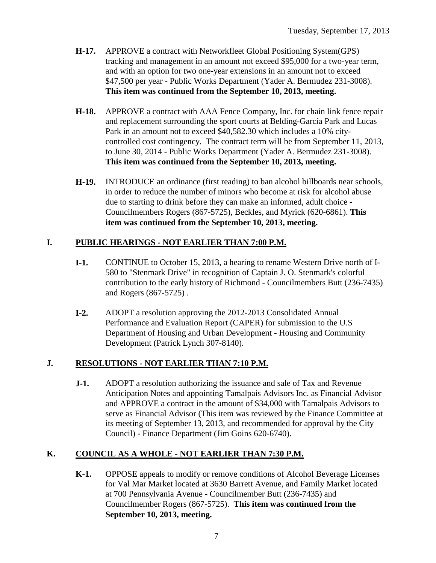- **H-17.** APPROVE a contract with Networkfleet Global Positioning System(GPS) tracking and management in an amount not exceed \$95,000 for a two-year term, and with an option for two one-year extensions in an amount not to exceed \$47,500 per year - Public Works Department (Yader A. Bermudez 231-3008). **This item was continued from the September 10, 2013, meeting.**
- **H-18.** APPROVE a contract with AAA Fence Company, Inc. for chain link fence repair and replacement surrounding the sport courts at Belding-Garcia Park and Lucas Park in an amount not to exceed \$40,582.30 which includes a 10% citycontrolled cost contingency. The contract term will be from September 11, 2013, to June 30, 2014 - Public Works Department (Yader A. Bermudez 231-3008). **This item was continued from the September 10, 2013, meeting.**
- **H-19.** INTRODUCE an ordinance (first reading) to ban alcohol billboards near schools, in order to reduce the number of minors who become at risk for alcohol abuse due to starting to drink before they can make an informed, adult choice - Councilmembers Rogers (867-5725), Beckles, and Myrick (620-6861). **This item was continued from the September 10, 2013, meeting.**

## **I. PUBLIC HEARINGS - NOT EARLIER THAN 7:00 P.M.**

- **I-1.** CONTINUE to October 15, 2013, a hearing to rename Western Drive north of I-580 to "Stenmark Drive" in recognition of Captain J. O. Stenmark's colorful contribution to the early history of Richmond - Councilmembers Butt (236-7435) and Rogers (867-5725) .
- **I-2.** ADOPT a resolution approving the 2012-2013 Consolidated Annual Performance and Evaluation Report (CAPER) for submission to the U.S Department of Housing and Urban Development - Housing and Community Development (Patrick Lynch 307-8140).

## **J. RESOLUTIONS - NOT EARLIER THAN 7:10 P.M.**

**J-1.** ADOPT a resolution authorizing the issuance and sale of Tax and Revenue Anticipation Notes and appointing Tamalpais Advisors Inc. as Financial Advisor and APPROVE a contract in the amount of \$34,000 with Tamalpais Advisors to serve as Financial Advisor (This item was reviewed by the Finance Committee at its meeting of September 13, 2013, and recommended for approval by the City Council) - Finance Department (Jim Goins 620-6740).

## **K. COUNCIL AS A WHOLE - NOT EARLIER THAN 7:30 P.M.**

**K-1.** OPPOSE appeals to modify or remove conditions of Alcohol Beverage Licenses for Val Mar Market located at 3630 Barrett Avenue, and Family Market located at 700 Pennsylvania Avenue - Councilmember Butt (236-7435) and Councilmember Rogers (867-5725). **This item was continued from the September 10, 2013, meeting.**